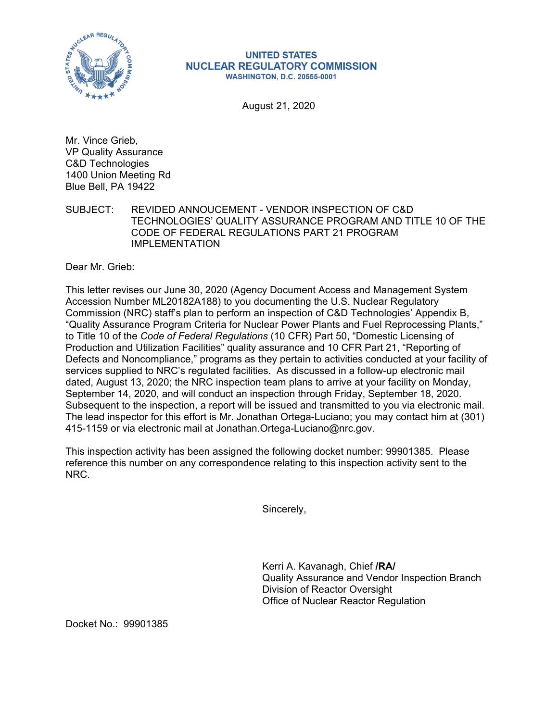

## **UNITED STATES NUCLEAR REGULATORY COMMISSION WASHINGTON, D.C. 20555-0001**

August 21, 2020

Mr. Vince Grieb, VP Quality Assurance C&D Technologies 1400 Union Meeting Rd Blue Bell, PA 19422

SUBJECT: REVIDED ANNOUCEMENT - VENDOR INSPECTION OF C&D TECHNOLOGIES' QUALITY ASSURANCE PROGRAM AND TITLE 10 OF THE CODE OF FEDERAL REGULATIONS PART 21 PROGRAM IMPLEMENTATION

Dear Mr. Grieb:

This letter revises our June 30, 2020 (Agency Document Access and Management System Accession Number ML20182A188) to you documenting the U.S. Nuclear Regulatory Commission (NRC) staff's plan to perform an inspection of C&D Technologies' Appendix B, "Quality Assurance Program Criteria for Nuclear Power Plants and Fuel Reprocessing Plants," to Title 10 of the *Code of Federal Regulations* (10 CFR) Part 50, "Domestic Licensing of Production and Utilization Facilities" quality assurance and 10 CFR Part 21, "Reporting of Defects and Noncompliance," programs as they pertain to activities conducted at your facility of services supplied to NRC's regulated facilities. As discussed in a follow-up electronic mail dated, August 13, 2020; the NRC inspection team plans to arrive at your facility on Monday, September 14, 2020, and will conduct an inspection through Friday, September 18, 2020. Subsequent to the inspection, a report will be issued and transmitted to you via electronic mail. The lead inspector for this effort is Mr. Jonathan Ortega-Luciano; you may contact him at (301) 415-1159 or via electronic mail at Jonathan.Ortega-Luciano@nrc.gov.

This inspection activity has been assigned the following docket number: 99901385. Please reference this number on any correspondence relating to this inspection activity sent to the NRC.

Sincerely,

Kerri A. Kavanagh, Chief **/RA/**  Quality Assurance and Vendor Inspection Branch Division of Reactor Oversight Office of Nuclear Reactor Regulation

Docket No.: 99901385